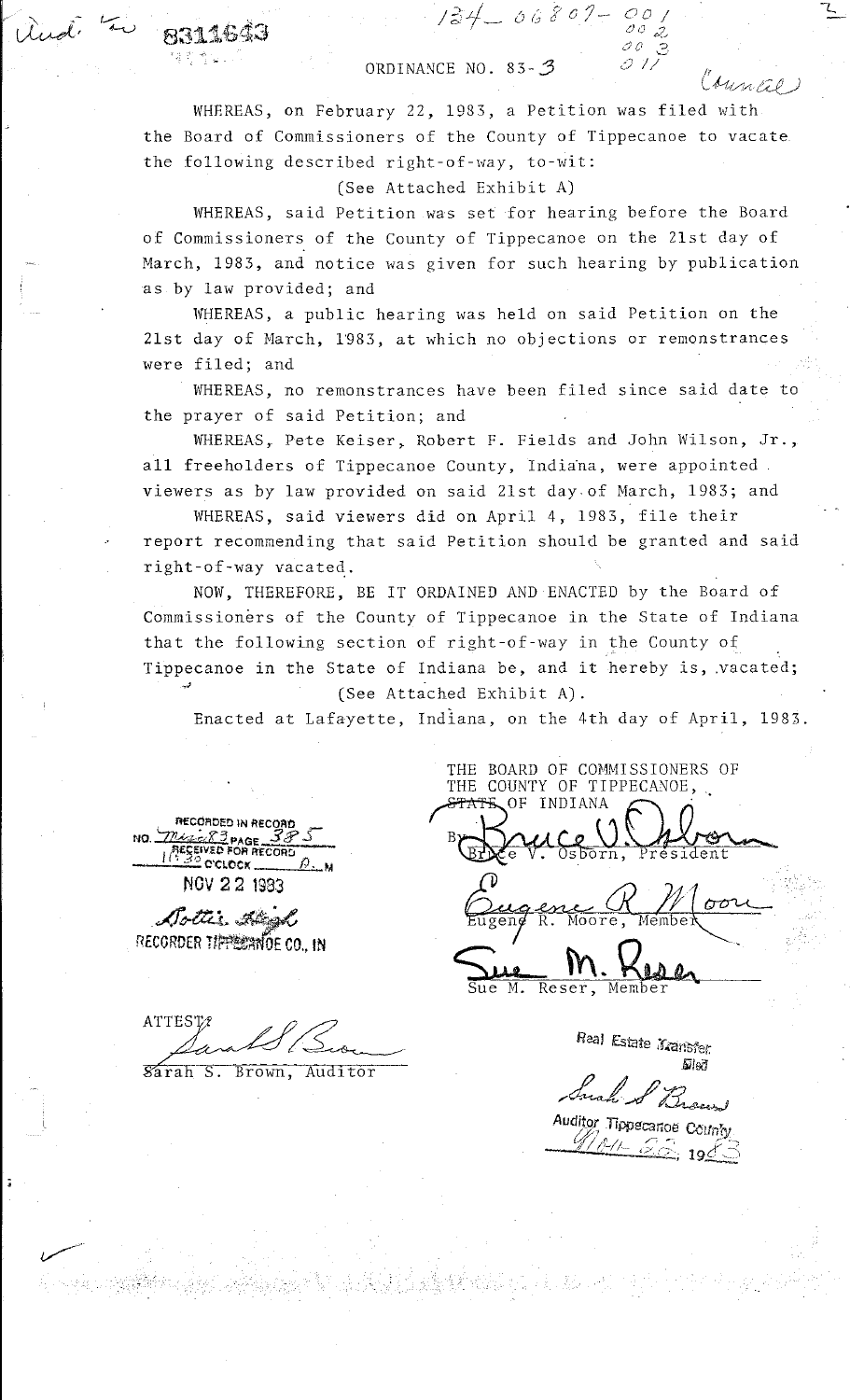## ORDINANCE NO.  $83 - 3$

*j?;.Lj\_* {u; *2* o /- *oo* / ! [.) *0 ;;?\_,* 

*JO* ? ~·

 $\mathcal C\mathcal{M}$ nal

L.

WHEREAS, on February 22, 1983, a Petition was filed with the Board of Commissioners of the County of Tippecanoe to vacate the following described right-of-way, to-wit:

(See Attached Exhibit A)

WHEREAS, said Petition was set for hearing before the Board of Commissioners of the County of Tippecanoe on the 21st day of March, 1983, and notice was given for such hearing by publication as by law provided; and

WHEREAS, a public hearing was held on said Petition on the 21st day of March, 1983, at which no objections or remonstrances were filed; and

WHEREAS, no remonstrances have been filed since said date to the prayer of said Petition; and

WHEREAS, Pete Keiser, Robert F. Fields and John Wilson, Jr., all freeholders of Tippecanoe County, Indiana, were appointed. viewers as by law provided on said 21st day of March, 1983; and

WHEREAS, said viewers did on April 4, 1983, file their report recommending that said Petition should be granted and said right-of-way vacated.

NOW, THEREFORE, BE IT ORDAINED AND ENACTED by the Board of Commissioners of the County of Tippecanoe in the State of Indiana that the following section of right-of-way in the County of Tippecanoe in the State of Indiana be, and it hereby is, .vacated; .,;) (See Attached Exhibit A).

Enacted at Lafayette, Indiana, on the 4th day of April, 1983.

**n£C0RDEO IN RECOAt>** \_ **116CORDED IN RECORD<br>NO. 2024 28 3 PAGE 38 5**  $\frac{1}{\sqrt{1.30}}$  o'clock  $\frac{\beta}{\beta}$  with  $\frac{1}{\beta}$ 

 $ulid. 70,8311643$ 

.

NOV 2 2 1983

 $\emph{A}$ rtti $_{\cdot}$ . Lönsk RECORDER TIPE CONDE CO., IN

•

.<br>مس**سسر** ا

THE COUNTY OF TIPPECANOE,. B)  $\frac{1}{100}$  $\overline{00}$ Moore

THE BOARD OF COMMISSIONERS OF

Reser,  $\overline{\mathsf{M}}$  . Member

Sarah S. Seom

Sarah S. Brown, Auditor

Real Estate Mansfer. *fiils?J* 

Such & Brand *Auditor Tippecanoe County*<br>Albert 28, 196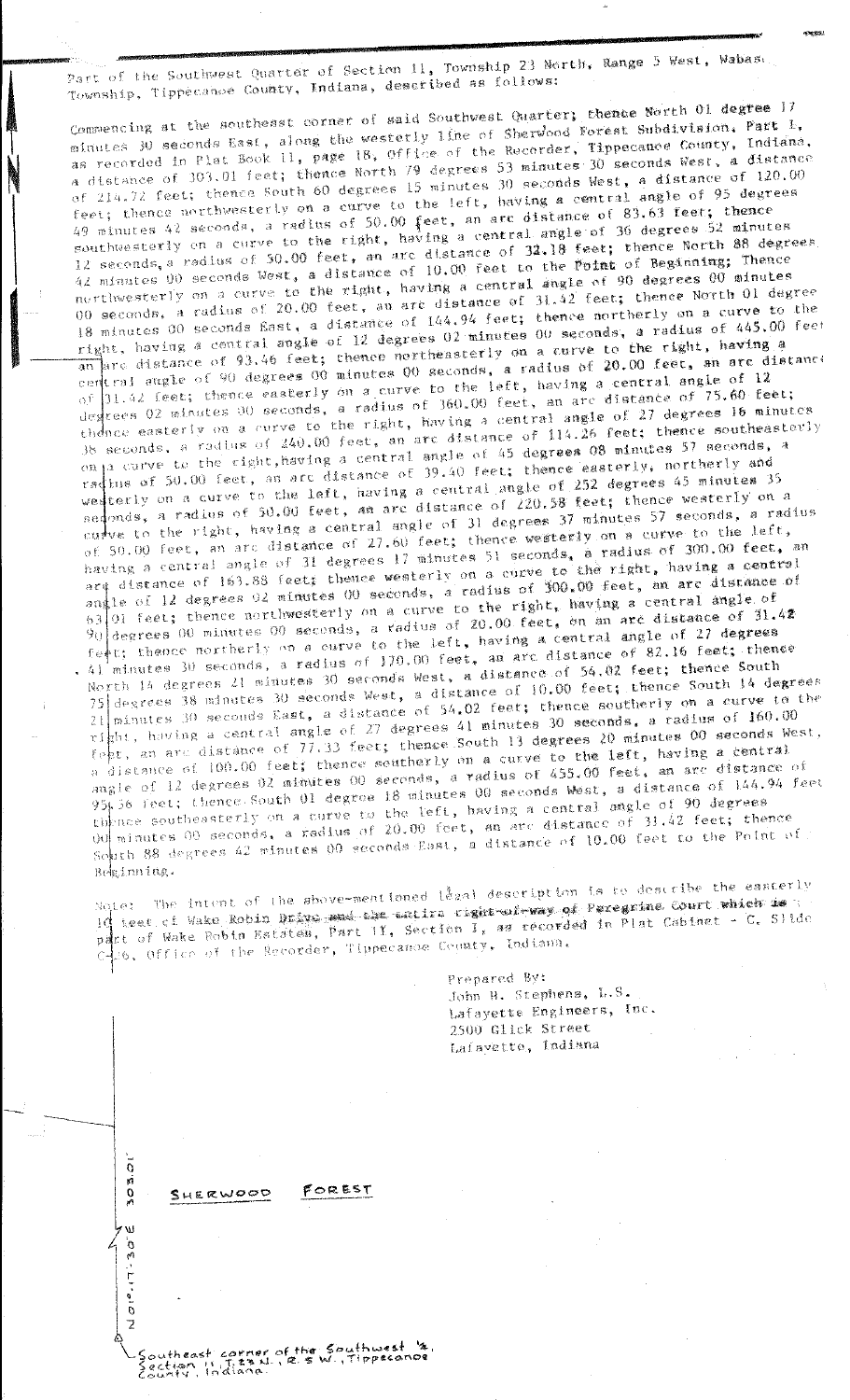Part of the Southwest Quarter of Section 11, Township 23 North, Range 5 West, Wabase Township, Tippecanoe County, Indiana, described as follows:

Commencing at the southeast corner of said Southwest Quarter, thence North 01 degree 17 minutes 30 seconds East, along the westerly line of Sherwood Forest Subdivision. Part 1, as recorded in Plat Book 11, page 18, Office of the Recorder, Tippecanoe County, Indiana, a distance of 303.01 feet; thence North 79 degrees 53 minutes 30 seconds West, a distance of 214.72 feet; thence South 60 degrees 15 minutes 30 seconds West, a distance of 120.00 feet; thence northwesterly on a curve to the left, having a central angle of 95 degrees 49 minutes 42 seconds, a radius of 50.00 feet, an arc distance of 83.63 feet; thence southwesterly on a curve to the right, having a central angle of 36 degrees 52 minutes 12 seconds, a radius of 50.00 feet, an arc distance of 32.18 feet; thence North 88 degrees 42 minutes 00 seconds West, a distance of 10.00 feet to the Point of Beginning; Thence northwesterly on a curve to the right, having a central angle of 90 degrees 00 minutes 00 seconds, a radius of 20.00 feet, an arc distance of 31.42 feet; thence North 01 degree 18 minutes 00 seconds East, a distance of 144.94 feet; thence northerly on a curve to the right, having a central angle of 12 degrees 02 minutes 00 seconds, a radius of 445.00 feet an are distance of 93.46 feet; thence northeasterly on a curve to the right, having a certral angle of 90 degrees 00 minutes 00 seconds, a radius of 20.00 feet, an are distance of 31.42 feet; thence easterly on a curve to the left, having a central angle of 12 degrees 02 minutes 00 seconds, a radius of 360.00 feet, an arc distance of 75.60 feet; thence easterly on a curve to the right, having a central angle of 27 degrees 16 minutes 38 seconds, a radius of 240.00 feet, an arc distance of 114.26 feet; thence southeasterly onja carve to the right, having a central angle of 45 degrees 08 minutes 57 seconds, a radius of 50.00 feet, as are distance of 39.40 feet; thence easterly, northerly and we terly on a curve to the left, having a central angle of 252 degrees 45 minutes 35 sedonds, a radius of 50.00 feet, an arc distance of 220.58 feet; thence westerly on a curve to the right, having a central angle of 31 degrees 37 minutes 57 seconds, a radius of 50.00 feet, an arc distance of 27.60 feet; thence westerly on a curve to the left, having a central angle of 31 degrees 17 minutes 51 seconds, a radius of 300.00 feet, an ard distance of 163.88 feet; thence westerly on a curve to the right, having a central<br>angle of 12 degrees 02 minutes 00 seconds, a radius of 300,00 feet, an arc distance of 63 01 feet; thence northwesterly on a curve to the right, having a central angle of degrees 00 minutes 00 seconds, a radius of 20.00 feet, on an are distance of 31.42 feet; thence northerly on a curve to the left, having a central angle of 27 degrees  $\mathcal{H}^+$ 41 minutes 30 seconds, a radius of 170.00 feet, an arc distance of 82.16 feet; thence North 14 degrees 21 minutes 30 seconds West, a distance of 54.02 feet; thence South 75 degrees 38 minutes 30 seconds West, a distance of 10.00 feet; thence South 14 degrees  $21$  minutes 30 seconds East, a distance of 54.02 feet; thence southerly on a curve to the right, having a central angle of 27 degrees 41 minutes 30 seconds, a radius of 160.00 feet, an arc distance of  $77.33$  feet; thence South 13 degrees 20 minutes 00 seconds West, a distance of 100.00 feet; thence southerly on a curve to the left, having a central angle of 12 degrees 02 minutes 00 seconds, a radius of 455.00 feet, an arc distance of 95, 36 feet; thence South 01 degree 18 minutes 00 seconds West, a distance of 144.94 feet thence southeasterly on a curve to the left, having a central angle of 90 degrees but minutes 00 seconds, a radius of 20.00 feet, an arc distance of 31.42 feet; thence South 88 degrees 42 minutes 00 seconds East, a distance of 10.00 feet to the Point of Beginning.

Note: The intent of the above-mentioned legal description is to describe the easterly IC teet of Wake Robin Drays and the entire right wire as Peregrine Court which is t part of Wake Robin Estates, Part II, Section I, as recorded in Plat Cabinet - C. Slide c-26, Office of the Recorder, Tippecanoe County, Indiana.

FOREST

Southeast corner of the Southwest 12<br>Section 11 T. 23 N., R. 3 W., Tippecanoe<br>County, Indiana.

 $\overline{0}$ a<br>O<br>A

Ŵ

**DE-LI-010** 

SHERWOOD

Prepared By: John H. Stephens, L.S. Lafayette Engineers, Inc. 2500 Glick Street Lafavette, Indiana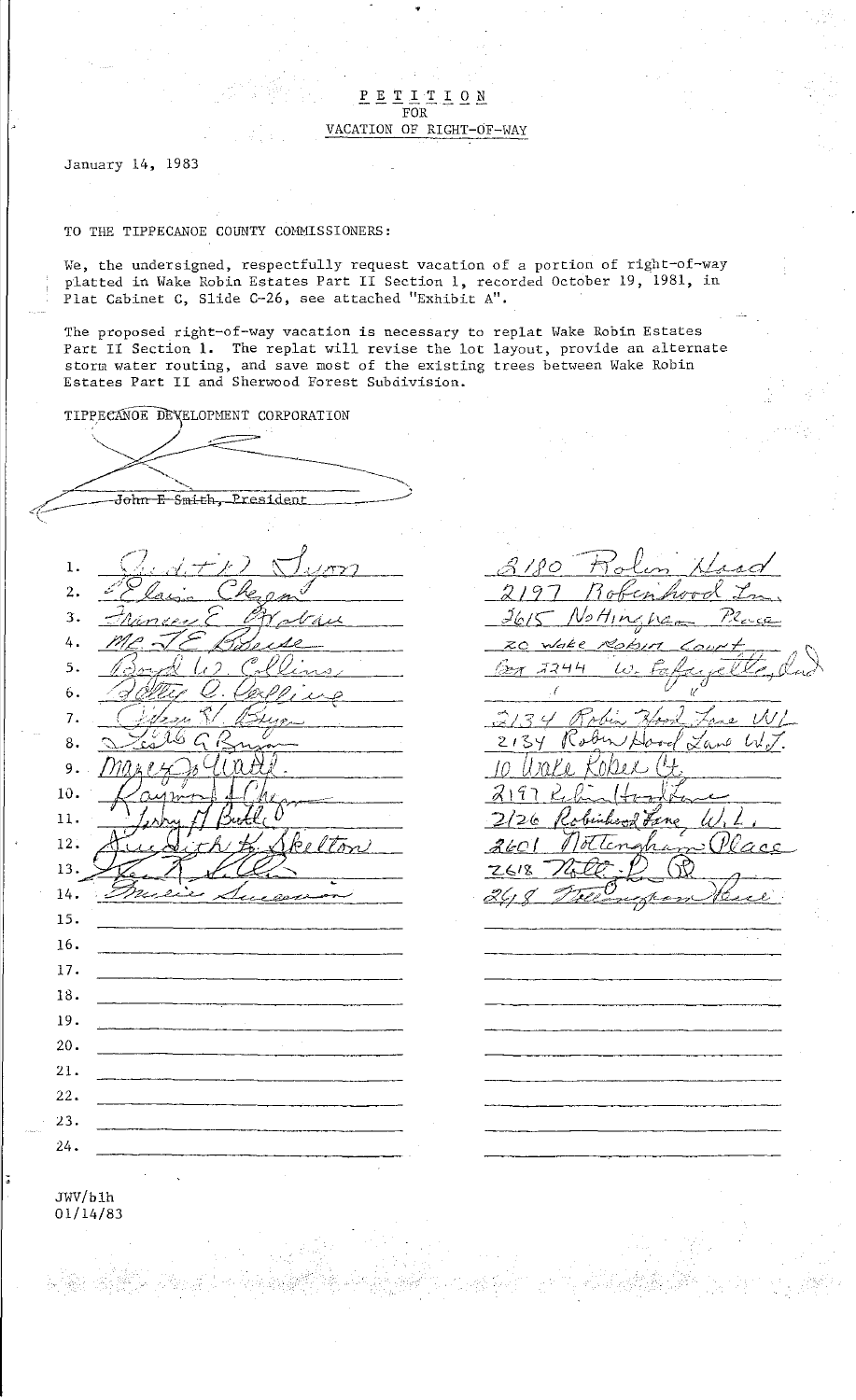$\underline{P} \underline{E} \underline{T} \underline{T} \underline{T} \underline{T} \underline{O} \underline{N}$ VACATION OF RIGHT-OF-WAY

•

January 14, 1983

## TO THE TIPPECANOE COUNTY COHHISSIONERS:

**We, the undersigned, respectfully request vacation of a portion of right-of-way**  platted in Wake Robin Estates Part II Section 1, recorded October 19, 1981, in Plat Cabinet C, Slide C-26, see attached "Exhibit A".

The proposed right-of-way vacation is necessary to replat Wake Robin Estates Part II Section 1. The replat will revise the lot layout, provide an alternate storm water routing, and save most of the existing trees between Wake Robin Estates Part II and Sherwood Forest Subdivision.

TIPPECANOE DEVELOPMENT CORPORATION

·,"'- --------------- John E Smith, President ( J ' . ·, ' ·--'- ' • ) ,- J' I /T · *,/,I* j' ,\),, ,-;-] ~. ,\_ --- . *. 7*  1. */'* J~ J *.;,.£v.;a C* ' *r?<h=,-* 2. *\_;1,,* **-** *<sup>r</sup>*,-J •. 3.  $\neg$  Mancey  $\zeta$  . Of what 116 TE Bouse 4. 5. 100000 10 Coll <u>. delleg C. Cerpping</u><br>Citem & Bure 6.  $-$  ... 7. ·-C--. *";/c* rr·c· /)- - <sup>77</sup>**'-..\_.\. \_\_** \_,.~0 \\_ *( (/*  8. are Cisale 9. *('./,*  10. 11. 12. 12. (LIFE VID)  $13. \frac{12.7}{12.1}$ 14. 15. 16. 17. 18. 19. 20. 21. 22. *23.*  24.

*/) I* 1Q '7=r""J *0* . *'/1* / *L:71 I A* . I I *o--t-'.,u-;--,\_* - ,A.0.t.-~vd 2197 Robenhood In ,}fo /C Af, *lf1* A/. /,IC-= */!.Zc-c'"--*  $\vec{\nu}$ zo wake Robin Court, 1  $\frac{1}{27}$  3244 W. Fakuvelle, dud  $\frac{1}{2}$   $\frac{1}{2}$   $\frac{1}{2}$   $\frac{1}{2}$   $\frac{1}{2}$   $\frac{1}{2}$   $\frac{1}{2}$   $\frac{1}{2}$   $\frac{1}{2}$   $\frac{1}{2}$   $\frac{1}{2}$   $\frac{1}{2}$   $\frac{1}{2}$   $\frac{1}{2}$   $\frac{1}{2}$   $\frac{1}{2}$   $\frac{1}{2}$   $\frac{1}{2}$   $\frac{1}{2}$   $\frac{1}{2}$   $\frac{1}{2}$   $\frac{1}{2}$   $\ell$  (a)  $\mathscr{C}_{\mathscr{M}}$  $3/34$  Robin Hood Lane WL 2134 Robin Hood Lane W1<br>2134 Robin Hood Lane W*J*. *c* Ux1u *K.o/J;j \_ \_\_; C1,*   $2, 9, 2, 0, 16, 17$  $2197$  Rebentbookback 2126 Robinhood Fane W. L. 2601 Nottengham Place 2618 Nott D. R.

JWV/blh 01/14/83